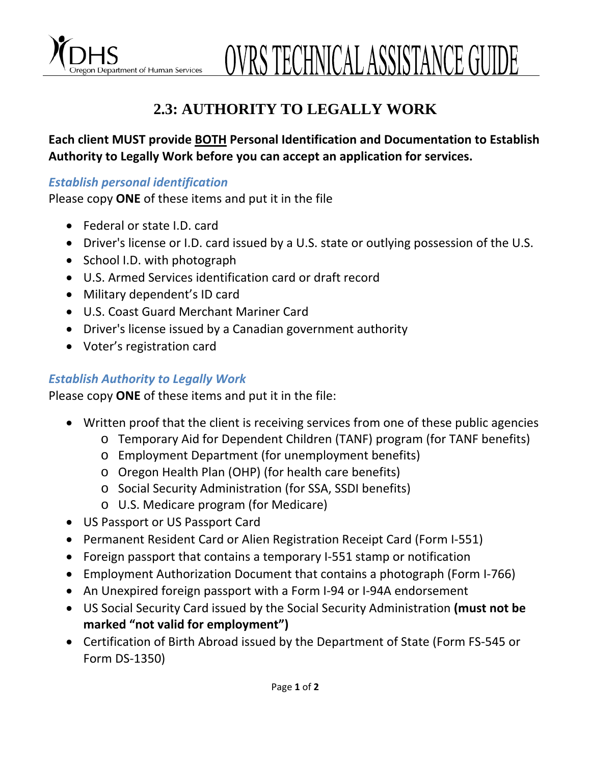Department of Human Services  $\overline{a}$  OVRS TECHNICAL ASSISTANCE GUIDE

## **2.3: AUTHORITY TO LEGALLY WORK**

**Each client MUST provide BOTH Personal Identification and Documentation to Establish Authority to Legally Work before you can accept an application for services.** 

## *Establish personal identification*

Please copy **ONE** of these items and put it in the file

- Federal or state I.D. card
- Driver's license or I.D. card issued by a U.S. state or outlying possession of the U.S.
- School I.D. with photograph
- U.S. Armed Services identification card or draft record
- Military dependent's ID card
- U.S. Coast Guard Merchant Mariner Card
- Driver's license issued by a Canadian government authority
- Voter's registration card

## *Establish Authority to Legally Work*

Please copy **ONE** of these items and put it in the file:

- Written proof that the client is receiving services from one of these public agencies
	- o Temporary Aid for Dependent Children (TANF) program (for TANF benefits)
	- o Employment Department (for unemployment benefits)
	- o Oregon Health Plan (OHP) (for health care benefits)
	- o Social Security Administration (for SSA, SSDI benefits)
	- o U.S. Medicare program (for Medicare)
- US Passport or US Passport Card
- Permanent Resident Card or Alien Registration Receipt Card (Form I‐551)
- Foreign passport that contains a temporary I‐551 stamp or notification
- Employment Authorization Document that contains a photograph (Form I‐766)
- An Unexpired foreign passport with a Form I‐94 or I‐94A endorsement
- US Social Security Card issued by the Social Security Administration **(must not be marked "not valid for employment")**
- Certification of Birth Abroad issued by the Department of State (Form FS‐545 or Form DS‐1350)